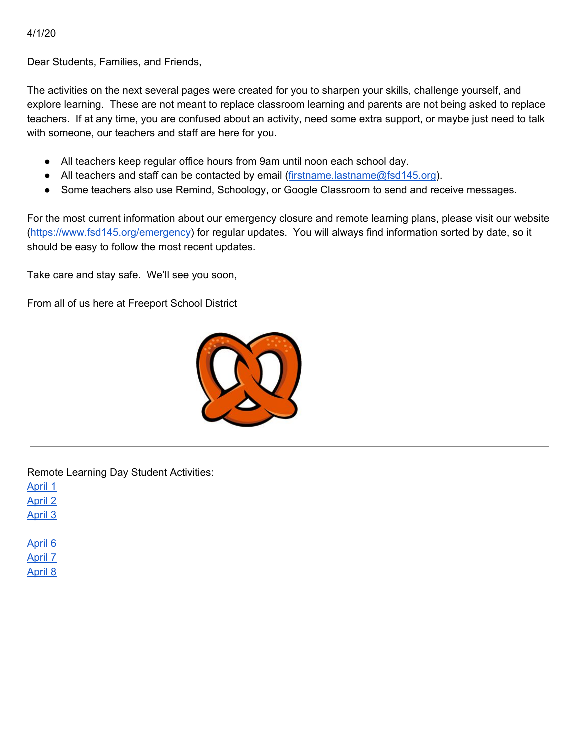4/1/20

Dear Students, Families, and Friends,

The activities on the next several pages were created for you to sharpen your skills, challenge yourself, and explore learning. These are not meant to replace classroom learning and parents are not being asked to replace teachers. If at any time, you are confused about an activity, need some extra support, or maybe just need to talk with someone, our teachers and staff are here for you.

- All teachers keep regular office hours from 9am until noon each school day.
- All teachers and staff can be contacted by email ([firstname.lastname@fsd145.org](mailto:firstname.lastname@fsd145.org)).
- Some teachers also use Remind, Schoology, or Google Classroom to send and receive messages.

For the most current information about our emergency closure and remote learning plans, please visit our website [\(https://www.fsd145.org/emergency\)](https://www.fsd145.org/emergency) for regular updates. You will always find information sorted by date, so it should be easy to follow the most recent updates.

Take care and stay safe. We'll see you soon,

From all of us here at Freeport School District



Remote Learning Day Student Activities:

April 1

April 2

April 3

April 6 April 7 April 8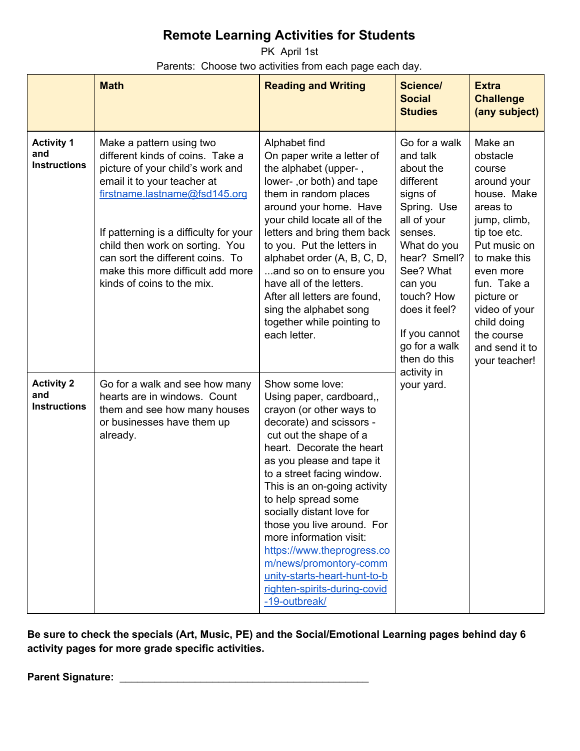PK April 1st Parents: Choose two activities from each page each day.

|                                                 | <b>Math</b>                                                                                                                                                                                                                                                                                                                                          | <b>Reading and Writing</b>                                                                                                                                                                                                                                                                                                                                                                                                                                                                                  | <b>Science/</b><br><b>Social</b><br><b>Studies</b>                                                                                                                                                                                               | <b>Extra</b><br><b>Challenge</b><br>(any subject)                                                                                                                                                                                                                  |
|-------------------------------------------------|------------------------------------------------------------------------------------------------------------------------------------------------------------------------------------------------------------------------------------------------------------------------------------------------------------------------------------------------------|-------------------------------------------------------------------------------------------------------------------------------------------------------------------------------------------------------------------------------------------------------------------------------------------------------------------------------------------------------------------------------------------------------------------------------------------------------------------------------------------------------------|--------------------------------------------------------------------------------------------------------------------------------------------------------------------------------------------------------------------------------------------------|--------------------------------------------------------------------------------------------------------------------------------------------------------------------------------------------------------------------------------------------------------------------|
| <b>Activity 1</b><br>and<br><b>Instructions</b> | Make a pattern using two<br>different kinds of coins. Take a<br>picture of your child's work and<br>email it to your teacher at<br>firstname.lastname@fsd145.org<br>If patterning is a difficulty for your<br>child then work on sorting. You<br>can sort the different coins. To<br>make this more difficult add more<br>kinds of coins to the mix. | Alphabet find<br>On paper write a letter of<br>the alphabet (upper-,<br>lower-, or both) and tape<br>them in random places<br>around your home. Have<br>your child locate all of the<br>letters and bring them back<br>to you. Put the letters in<br>alphabet order (A, B, C, D,<br>and so on to ensure you<br>have all of the letters.<br>After all letters are found,<br>sing the alphabet song<br>together while pointing to<br>each letter.                                                             | Go for a walk<br>and talk<br>about the<br>different<br>signs of<br>Spring. Use<br>all of your<br>senses.<br>What do you<br>hear? Smell?<br>See? What<br>can you<br>touch? How<br>does it feel?<br>If you cannot<br>go for a walk<br>then do this | Make an<br>obstacle<br>course<br>around your<br>house. Make<br>areas to<br>jump, climb,<br>tip toe etc.<br>Put music on<br>to make this<br>even more<br>fun. Take a<br>picture or<br>video of your<br>child doing<br>the course<br>and send it to<br>your teacher! |
| <b>Activity 2</b><br>and<br><b>Instructions</b> | Go for a walk and see how many<br>hearts are in windows. Count<br>them and see how many houses<br>or businesses have them up<br>already.                                                                                                                                                                                                             | Show some love:<br>Using paper, cardboard,,<br>crayon (or other ways to<br>decorate) and scissors -<br>cut out the shape of a<br>heart. Decorate the heart<br>as you please and tape it<br>to a street facing window.<br>This is an on-going activity<br>to help spread some<br>socially distant love for<br>those you live around. For<br>more information visit:<br>https://www.theprogress.co<br>m/news/promontory-comm<br>unity-starts-heart-hunt-to-b<br>righten-spirits-during-covid<br>-19-outbreak/ | activity in<br>your yard.                                                                                                                                                                                                                        |                                                                                                                                                                                                                                                                    |

**Be sure to check the specials (Art, Music, PE) and the Social/Emotional Learning pages behind day 6 activity pages for more grade specific activities.**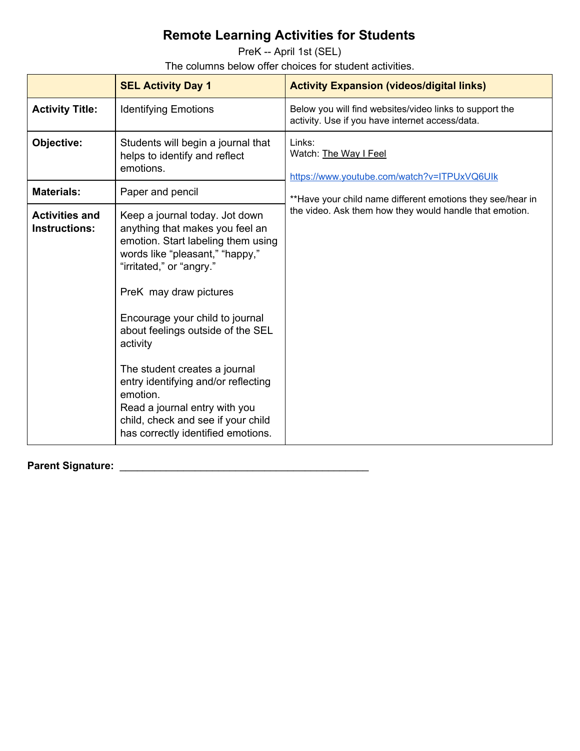PreK -- April 1st (SEL)

The columns below offer choices for student activities.

|                                               | <b>SEL Activity Day 1</b>                                                                                                                                                                                                                                                                                                                                                                                                                                                             | <b>Activity Expansion (videos/digital links)</b>                                                           |
|-----------------------------------------------|---------------------------------------------------------------------------------------------------------------------------------------------------------------------------------------------------------------------------------------------------------------------------------------------------------------------------------------------------------------------------------------------------------------------------------------------------------------------------------------|------------------------------------------------------------------------------------------------------------|
| <b>Activity Title:</b>                        | <b>Identifying Emotions</b>                                                                                                                                                                                                                                                                                                                                                                                                                                                           | Below you will find websites/video links to support the<br>activity. Use if you have internet access/data. |
| Objective:                                    | Students will begin a journal that<br>helps to identify and reflect<br>emotions.                                                                                                                                                                                                                                                                                                                                                                                                      | Links:<br>Watch: The Way I Feel<br>https://www.youtube.com/watch?v=ITPUxVQ6UIk                             |
| <b>Materials:</b>                             | Paper and pencil                                                                                                                                                                                                                                                                                                                                                                                                                                                                      | **Have your child name different emotions they see/hear in                                                 |
| <b>Activities and</b><br><b>Instructions:</b> | Keep a journal today. Jot down<br>anything that makes you feel an<br>emotion. Start labeling them using<br>words like "pleasant," "happy,"<br>"irritated," or "angry."<br>PreK may draw pictures<br>Encourage your child to journal<br>about feelings outside of the SEL<br>activity<br>The student creates a journal<br>entry identifying and/or reflecting<br>emotion.<br>Read a journal entry with you<br>child, check and see if your child<br>has correctly identified emotions. | the video. Ask them how they would handle that emotion.                                                    |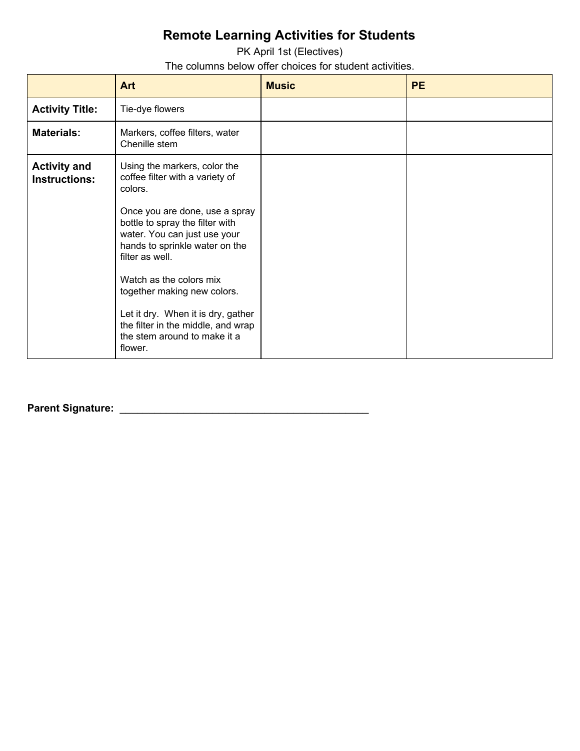PK April 1st (Electives) The columns below offer choices for student activities.

|                                             | Art                                                                                                                                                                                                                                                                                                                                                                                                                   | <b>Music</b> | <b>PE</b> |
|---------------------------------------------|-----------------------------------------------------------------------------------------------------------------------------------------------------------------------------------------------------------------------------------------------------------------------------------------------------------------------------------------------------------------------------------------------------------------------|--------------|-----------|
| <b>Activity Title:</b>                      | Tie-dye flowers                                                                                                                                                                                                                                                                                                                                                                                                       |              |           |
| <b>Materials:</b>                           | Markers, coffee filters, water<br>Chenille stem                                                                                                                                                                                                                                                                                                                                                                       |              |           |
| <b>Activity and</b><br><b>Instructions:</b> | Using the markers, color the<br>coffee filter with a variety of<br>colors.<br>Once you are done, use a spray<br>bottle to spray the filter with<br>water. You can just use your<br>hands to sprinkle water on the<br>filter as well.<br>Watch as the colors mix<br>together making new colors.<br>Let it dry. When it is dry, gather<br>the filter in the middle, and wrap<br>the stem around to make it a<br>flower. |              |           |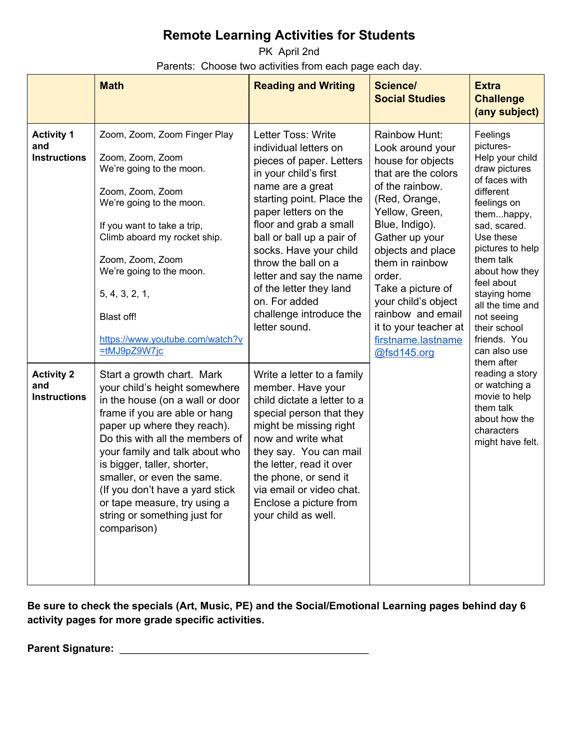PK April 2nd Parents: Choose two activities from each page each day.

|                                                 | <b>Math</b>                                                                                                                                                                                                                                                                                                                                                                                                        | <b>Reading and Writing</b>                                                                                                                                                                                                                                                                                                                                                                           | <b>Science/</b><br><b>Social Studies</b>                                                                                                                                                                                                                                                                                                                 | <b>Extra</b><br><b>Challenge</b><br>(any subject)                                                                                                                                                                                                                                                                    |
|-------------------------------------------------|--------------------------------------------------------------------------------------------------------------------------------------------------------------------------------------------------------------------------------------------------------------------------------------------------------------------------------------------------------------------------------------------------------------------|------------------------------------------------------------------------------------------------------------------------------------------------------------------------------------------------------------------------------------------------------------------------------------------------------------------------------------------------------------------------------------------------------|----------------------------------------------------------------------------------------------------------------------------------------------------------------------------------------------------------------------------------------------------------------------------------------------------------------------------------------------------------|----------------------------------------------------------------------------------------------------------------------------------------------------------------------------------------------------------------------------------------------------------------------------------------------------------------------|
| <b>Activity 1</b><br>and<br><b>Instructions</b> | Zoom, Zoom, Zoom Finger Play<br>Zoom, Zoom, Zoom<br>We're going to the moon.<br>Zoom, Zoom, Zoom<br>We're going to the moon.<br>If you want to take a trip,<br>Climb aboard my rocket ship.<br>Zoom, Zoom, Zoom<br>We're going to the moon.<br>5, 4, 3, 2, 1,<br>Blast off!<br>https://www.youtube.com/watch?v<br>=tMJ9pZ9W7jc                                                                                     | Letter Toss: Write<br>individual letters on<br>pieces of paper. Letters<br>in your child's first<br>name are a great<br>starting point. Place the<br>paper letters on the<br>floor and grab a small<br>ball or ball up a pair of<br>socks. Have your child<br>throw the ball on a<br>letter and say the name<br>of the letter they land<br>on. For added<br>challenge introduce the<br>letter sound. | Rainbow Hunt:<br>Look around your<br>house for objects<br>that are the colors<br>of the rainbow.<br>(Red, Orange,<br>Yellow, Green,<br>Blue, Indigo).<br>Gather up your<br>objects and place<br>them in rainbow<br>order.<br>Take a picture of<br>your child's object<br>rainbow and email<br>it to your teacher at<br>firstname.lastname<br>@fsd145.org | Feelings<br>pictures-<br>Help your child<br>draw pictures<br>of faces with<br>different<br>feelings on<br>themhappy,<br>sad, scared.<br>Use these<br>pictures to help<br>them talk<br>about how they<br>feel about<br>staying home<br>all the time and<br>not seeing<br>their school<br>friends. You<br>can also use |
| <b>Activity 2</b><br>and<br><b>Instructions</b> | Start a growth chart. Mark<br>your child's height somewhere<br>in the house (on a wall or door<br>frame if you are able or hang<br>paper up where they reach).<br>Do this with all the members of<br>your family and talk about who<br>is bigger, taller, shorter,<br>smaller, or even the same.<br>(If you don't have a yard stick<br>or tape measure, try using a<br>string or something just for<br>comparison) | Write a letter to a family<br>member. Have your<br>child dictate a letter to a<br>special person that they<br>might be missing right<br>now and write what<br>they say. You can mail<br>the letter, read it over<br>the phone, or send it<br>via email or video chat.<br>Enclose a picture from<br>your child as well.                                                                               |                                                                                                                                                                                                                                                                                                                                                          | them after<br>reading a story<br>or watching a<br>movie to help<br>them talk<br>about how the<br>characters<br>might have felt.                                                                                                                                                                                      |

**Be sure to check the specials (Art, Music, PE) and the Social/Emotional Learning pages behind day 6 activity pages for more grade specific activities.**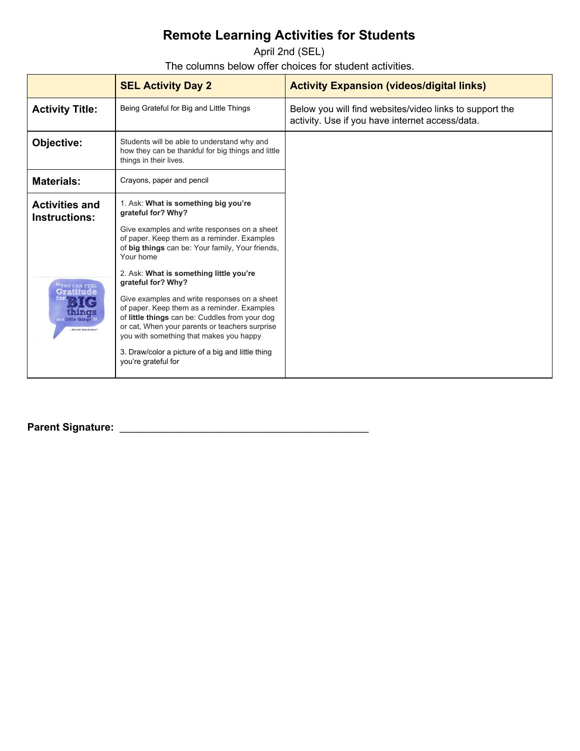April 2nd (SEL)

The columns below offer choices for student activities.

|                                                                                 | <b>SEL Activity Day 2</b>                                                                                                                                                                                                                                                                                                                    | <b>Activity Expansion (videos/digital links)</b>                                                           |
|---------------------------------------------------------------------------------|----------------------------------------------------------------------------------------------------------------------------------------------------------------------------------------------------------------------------------------------------------------------------------------------------------------------------------------------|------------------------------------------------------------------------------------------------------------|
| <b>Activity Title:</b>                                                          | Being Grateful for Big and Little Things                                                                                                                                                                                                                                                                                                     | Below you will find websites/video links to support the<br>activity. Use if you have internet access/data. |
| Objective:                                                                      | Students will be able to understand why and<br>how they can be thankful for big things and little<br>things in their lives.                                                                                                                                                                                                                  |                                                                                                            |
| <b>Materials:</b>                                                               | Crayons, paper and pencil                                                                                                                                                                                                                                                                                                                    |                                                                                                            |
| <b>Activities and</b><br><b>Instructions:</b>                                   | 1. Ask: What is something big you're<br>grateful for? Why?<br>Give examples and write responses on a sheet<br>of paper. Keep them as a reminder. Examples<br>of big things can be: Your family, Your friends,<br>Your home<br>2. Ask: What is something little you're                                                                        |                                                                                                            |
| <b>"YOU CAN FEEL</b><br>WGS<br>and little things 1<br>nd Yeti, "Hello Gratitude | grateful for? Why?<br>Give examples and write responses on a sheet<br>of paper. Keep them as a reminder. Examples<br>of little things can be: Cuddles from your dog<br>or cat, When your parents or teachers surprise<br>you with something that makes you happy<br>3. Draw/color a picture of a big and little thing<br>you're grateful for |                                                                                                            |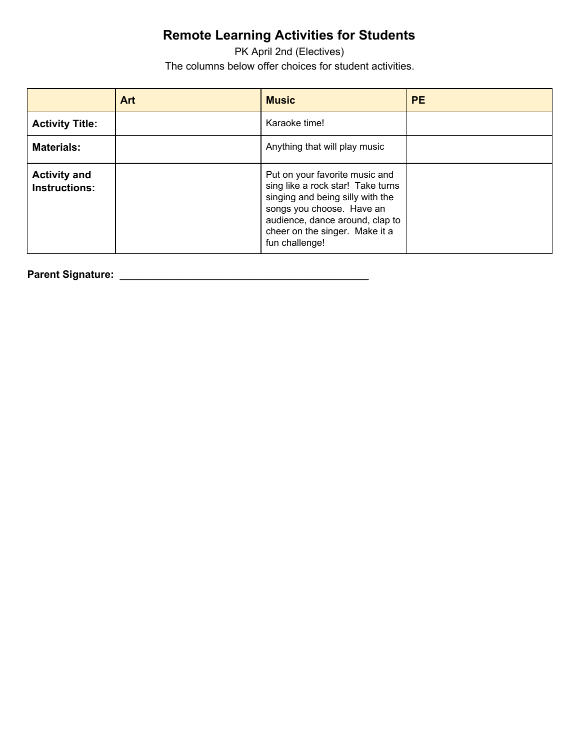PK April 2nd (Electives) The columns below offer choices for student activities.

|                                             | <b>Art</b> | <b>Music</b>                                                                                                                                                                                                                | <b>PE</b> |
|---------------------------------------------|------------|-----------------------------------------------------------------------------------------------------------------------------------------------------------------------------------------------------------------------------|-----------|
| <b>Activity Title:</b>                      |            | Karaoke time!                                                                                                                                                                                                               |           |
| <b>Materials:</b>                           |            | Anything that will play music                                                                                                                                                                                               |           |
| <b>Activity and</b><br><b>Instructions:</b> |            | Put on your favorite music and<br>sing like a rock star! Take turns<br>singing and being silly with the<br>songs you choose. Have an<br>audience, dance around, clap to<br>cheer on the singer. Make it a<br>fun challenge! |           |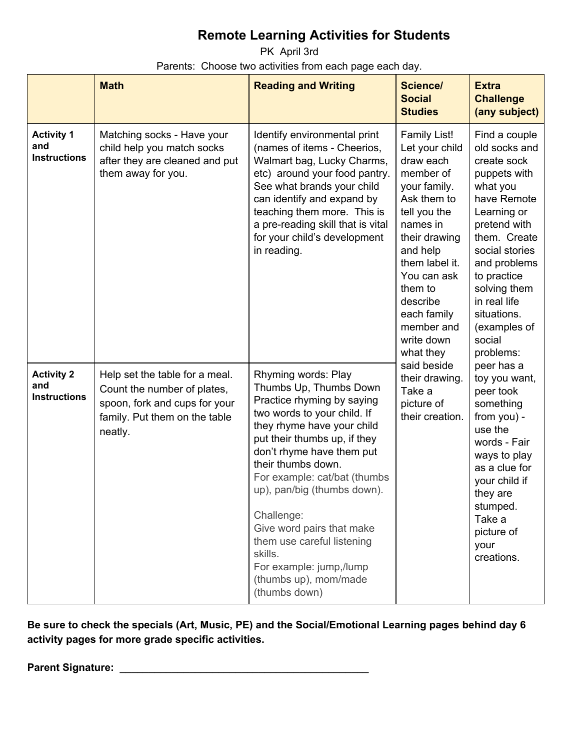PK April 3rd Parents: Choose two activities from each page each day.

|                                                 | <b>Math</b>                                                                                                                                | <b>Reading and Writing</b>                                                                                                                                                                                                                                                                                                                                                                                                                          | <b>Science/</b><br><b>Social</b><br><b>Studies</b>                                                                                                                                                                                                               | <b>Extra</b><br><b>Challenge</b><br>(any subject)                                                                                                                                                                                                                              |
|-------------------------------------------------|--------------------------------------------------------------------------------------------------------------------------------------------|-----------------------------------------------------------------------------------------------------------------------------------------------------------------------------------------------------------------------------------------------------------------------------------------------------------------------------------------------------------------------------------------------------------------------------------------------------|------------------------------------------------------------------------------------------------------------------------------------------------------------------------------------------------------------------------------------------------------------------|--------------------------------------------------------------------------------------------------------------------------------------------------------------------------------------------------------------------------------------------------------------------------------|
| <b>Activity 1</b><br>and<br><b>Instructions</b> | Matching socks - Have your<br>child help you match socks<br>after they are cleaned and put<br>them away for you.                           | Identify environmental print<br>(names of items - Cheerios,<br>Walmart bag, Lucky Charms,<br>etc) around your food pantry.<br>See what brands your child<br>can identify and expand by<br>teaching them more. This is<br>a pre-reading skill that is vital<br>for your child's development<br>in reading.                                                                                                                                           | Family List!<br>Let your child<br>draw each<br>member of<br>your family.<br>Ask them to<br>tell you the<br>names in<br>their drawing<br>and help<br>them label it.<br>You can ask<br>them to<br>describe<br>each family<br>member and<br>write down<br>what they | Find a couple<br>old socks and<br>create sock<br>puppets with<br>what you<br>have Remote<br>Learning or<br>pretend with<br>them. Create<br>social stories<br>and problems<br>to practice<br>solving them<br>in real life<br>situations.<br>(examples of<br>social<br>problems: |
| <b>Activity 2</b><br>and<br><b>Instructions</b> | Help set the table for a meal.<br>Count the number of plates,<br>spoon, fork and cups for your<br>family. Put them on the table<br>neatly. | Rhyming words: Play<br>Thumbs Up, Thumbs Down<br>Practice rhyming by saying<br>two words to your child. If<br>they rhyme have your child<br>put their thumbs up, if they<br>don't rhyme have them put<br>their thumbs down.<br>For example: cat/bat (thumbs<br>up), pan/big (thumbs down).<br>Challenge:<br>Give word pairs that make<br>them use careful listening<br>skills.<br>For example: jump,/lump<br>(thumbs up), mom/made<br>(thumbs down) | said beside<br>their drawing.<br>Take a<br>picture of<br>their creation.                                                                                                                                                                                         | peer has a<br>toy you want,<br>peer took<br>something<br>from you) -<br>use the<br>words - Fair<br>ways to play<br>as a clue for<br>your child if<br>they are<br>stumped.<br>Take a<br>picture of<br>your<br>creations.                                                        |

**Be sure to check the specials (Art, Music, PE) and the Social/Emotional Learning pages behind day 6 activity pages for more grade specific activities.**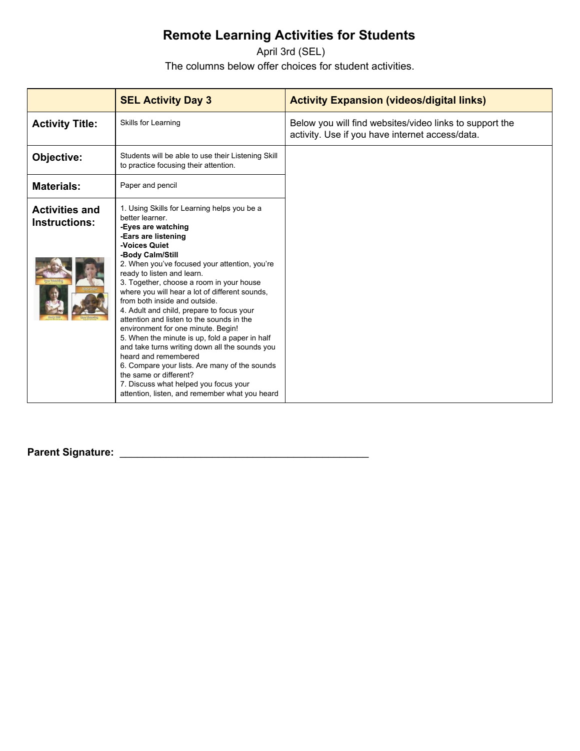April 3rd (SEL) The columns below offer choices for student activities.

|                                               | <b>SEL Activity Day 3</b>                                                                                                                                                                                                                                                                                                                                                                                                                                                                                                                                                                                                                                                                                                                                                                        | <b>Activity Expansion (videos/digital links)</b>                                                           |
|-----------------------------------------------|--------------------------------------------------------------------------------------------------------------------------------------------------------------------------------------------------------------------------------------------------------------------------------------------------------------------------------------------------------------------------------------------------------------------------------------------------------------------------------------------------------------------------------------------------------------------------------------------------------------------------------------------------------------------------------------------------------------------------------------------------------------------------------------------------|------------------------------------------------------------------------------------------------------------|
| <b>Activity Title:</b>                        | Skills for Learning                                                                                                                                                                                                                                                                                                                                                                                                                                                                                                                                                                                                                                                                                                                                                                              | Below you will find websites/video links to support the<br>activity. Use if you have internet access/data. |
| Objective:                                    | Students will be able to use their Listening Skill<br>to practice focusing their attention.                                                                                                                                                                                                                                                                                                                                                                                                                                                                                                                                                                                                                                                                                                      |                                                                                                            |
| <b>Materials:</b>                             | Paper and pencil                                                                                                                                                                                                                                                                                                                                                                                                                                                                                                                                                                                                                                                                                                                                                                                 |                                                                                                            |
| <b>Activities and</b><br><b>Instructions:</b> | 1. Using Skills for Learning helps you be a<br>better learner.<br>-Eyes are watching<br>-Ears are listening<br>-Voices Quiet<br>-Body Calm/Still<br>2. When you've focused your attention, you're<br>ready to listen and learn.<br>3. Together, choose a room in your house<br>where you will hear a lot of different sounds,<br>from both inside and outside.<br>4. Adult and child, prepare to focus your<br>attention and listen to the sounds in the<br>environment for one minute. Begin!<br>5. When the minute is up, fold a paper in half<br>and take turns writing down all the sounds you<br>heard and remembered<br>6. Compare your lists. Are many of the sounds<br>the same or different?<br>7. Discuss what helped you focus your<br>attention, listen, and remember what you heard |                                                                                                            |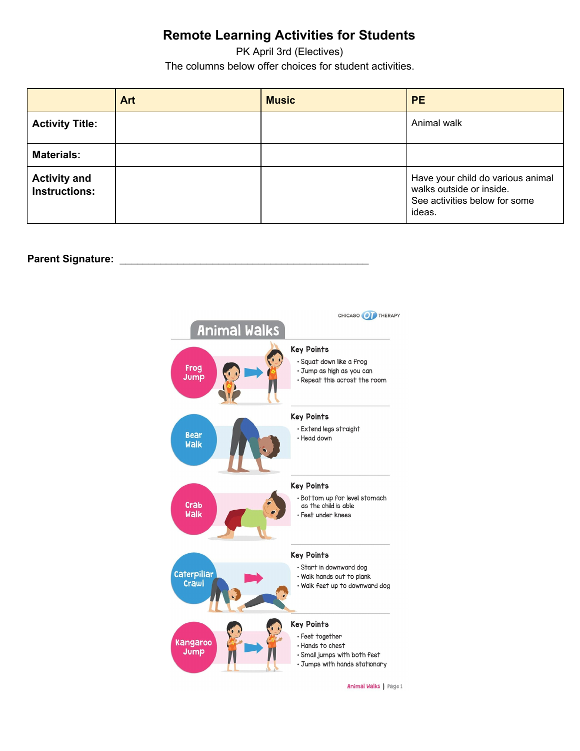PK April 3rd (Electives) The columns below offer choices for student activities.

|                                             | Art | <b>Music</b> | <b>PE</b>                                                                                                |
|---------------------------------------------|-----|--------------|----------------------------------------------------------------------------------------------------------|
| <b>Activity Title:</b>                      |     |              | Animal walk                                                                                              |
| <b>Materials:</b>                           |     |              |                                                                                                          |
| <b>Activity and</b><br><b>Instructions:</b> |     |              | Have your child do various animal<br>walks outside or inside.<br>See activities below for some<br>ideas. |

#### **Parent Signature:**



Animal Walks Page 1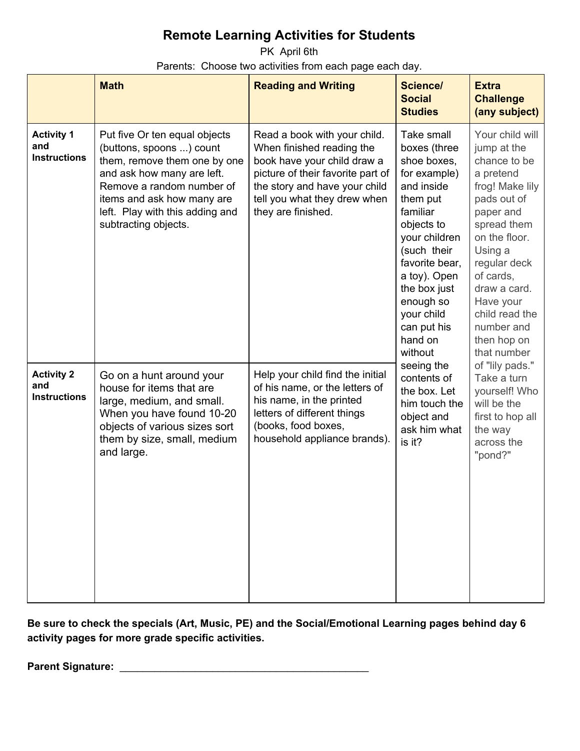PK April 6th Parents: Choose two activities from each page each day.

|                                                 | <b>Math</b>                                                                                                                                                                                                                                   | <b>Reading and Writing</b>                                                                                                                                                                                           | Science/<br><b>Social</b><br><b>Studies</b>                                                                                                                                                                                                                     | <b>Extra</b><br><b>Challenge</b><br>(any subject)                                                                                                                                                                                                                             |
|-------------------------------------------------|-----------------------------------------------------------------------------------------------------------------------------------------------------------------------------------------------------------------------------------------------|----------------------------------------------------------------------------------------------------------------------------------------------------------------------------------------------------------------------|-----------------------------------------------------------------------------------------------------------------------------------------------------------------------------------------------------------------------------------------------------------------|-------------------------------------------------------------------------------------------------------------------------------------------------------------------------------------------------------------------------------------------------------------------------------|
| <b>Activity 1</b><br>and<br><b>Instructions</b> | Put five Or ten equal objects<br>(buttons, spoons ) count<br>them, remove them one by one<br>and ask how many are left.<br>Remove a random number of<br>items and ask how many are<br>left. Play with this adding and<br>subtracting objects. | Read a book with your child.<br>When finished reading the<br>book have your child draw a<br>picture of their favorite part of<br>the story and have your child<br>tell you what they drew when<br>they are finished. | Take small<br>boxes (three<br>shoe boxes,<br>for example)<br>and inside<br>them put<br>familiar<br>objects to<br>your children<br>(such their<br>favorite bear,<br>a toy). Open<br>the box just<br>enough so<br>your child<br>can put his<br>hand on<br>without | Your child will<br>jump at the<br>chance to be<br>a pretend<br>frog! Make lily<br>pads out of<br>paper and<br>spread them<br>on the floor.<br>Using a<br>regular deck<br>of cards,<br>draw a card.<br>Have your<br>child read the<br>number and<br>then hop on<br>that number |
| <b>Activity 2</b><br>and<br><b>Instructions</b> | Go on a hunt around your<br>house for items that are<br>large, medium, and small.<br>When you have found 10-20<br>objects of various sizes sort<br>them by size, small, medium<br>and large.                                                  | Help your child find the initial<br>of his name, or the letters of<br>his name, in the printed<br>letters of different things<br>(books, food boxes,<br>household appliance brands).                                 | seeing the<br>contents of<br>the box. Let<br>him touch the<br>object and<br>ask him what<br>is it?                                                                                                                                                              | of "lily pads."<br>Take a turn<br>yourself! Who<br>will be the<br>first to hop all<br>the way<br>across the<br>"pond?"                                                                                                                                                        |

**Be sure to check the specials (Art, Music, PE) and the Social/Emotional Learning pages behind day 6 activity pages for more grade specific activities.**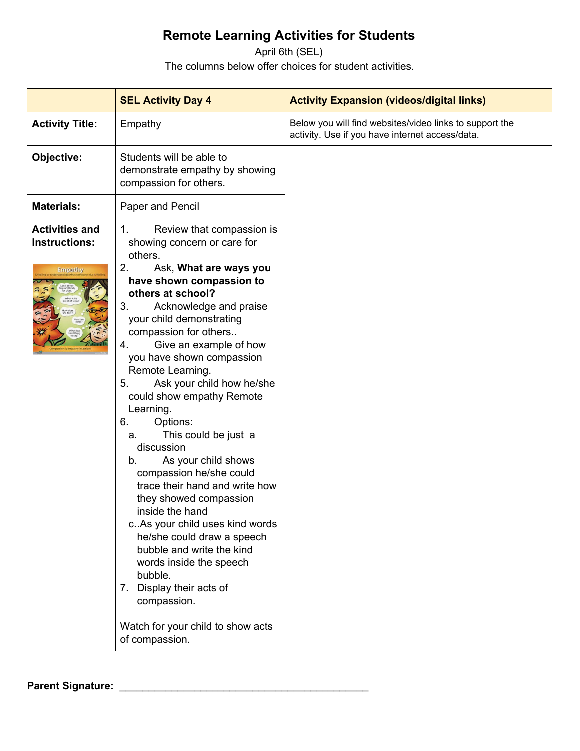April 6th (SEL) The columns below offer choices for student activities.

|                                                                 | <b>SEL Activity Day 4</b>                                                                                                                                                                                                                                                                                                                                                                                                                                                                                                                                                                                                                                                                                                                                                                                                                                 | <b>Activity Expansion (videos/digital links)</b>                                                           |
|-----------------------------------------------------------------|-----------------------------------------------------------------------------------------------------------------------------------------------------------------------------------------------------------------------------------------------------------------------------------------------------------------------------------------------------------------------------------------------------------------------------------------------------------------------------------------------------------------------------------------------------------------------------------------------------------------------------------------------------------------------------------------------------------------------------------------------------------------------------------------------------------------------------------------------------------|------------------------------------------------------------------------------------------------------------|
| <b>Activity Title:</b>                                          | Empathy                                                                                                                                                                                                                                                                                                                                                                                                                                                                                                                                                                                                                                                                                                                                                                                                                                                   | Below you will find websites/video links to support the<br>activity. Use if you have internet access/data. |
| Objective:                                                      | Students will be able to<br>demonstrate empathy by showing<br>compassion for others.                                                                                                                                                                                                                                                                                                                                                                                                                                                                                                                                                                                                                                                                                                                                                                      |                                                                                                            |
| <b>Materials:</b>                                               | Paper and Pencil                                                                                                                                                                                                                                                                                                                                                                                                                                                                                                                                                                                                                                                                                                                                                                                                                                          |                                                                                                            |
| <b>Activities and</b><br><b>Instructions:</b><br><b>Empathy</b> | Review that compassion is<br>1.<br>showing concern or care for<br>others.<br>2.<br>Ask, What are ways you<br>have shown compassion to<br>others at school?<br>Acknowledge and praise<br>3.<br>your child demonstrating<br>compassion for others<br>Give an example of how<br>4.<br>you have shown compassion<br>Remote Learning.<br>Ask your child how he/she<br>5.<br>could show empathy Remote<br>Learning.<br>6.<br>Options:<br>This could be just a<br>а.<br>discussion<br>As your child shows<br>b.<br>compassion he/she could<br>trace their hand and write how<br>they showed compassion<br>inside the hand<br>c. As your child uses kind words<br>he/she could draw a speech<br>bubble and write the kind<br>words inside the speech<br>bubble.<br>7. Display their acts of<br>compassion.<br>Watch for your child to show acts<br>of compassion. |                                                                                                            |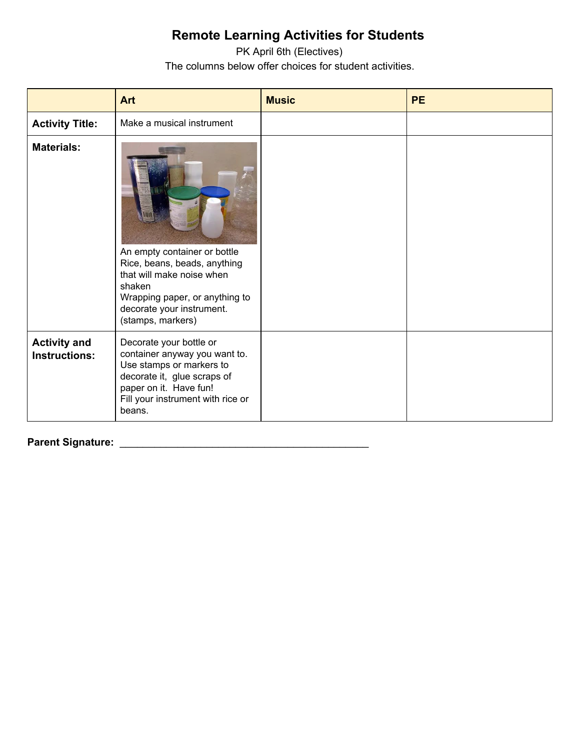PK April 6th (Electives) The columns below offer choices for student activities.

|                                             | <b>Art</b>                                                                                                                                                                                   | <b>Music</b> | <b>PE</b> |
|---------------------------------------------|----------------------------------------------------------------------------------------------------------------------------------------------------------------------------------------------|--------------|-----------|
| <b>Activity Title:</b>                      | Make a musical instrument                                                                                                                                                                    |              |           |
| <b>Materials:</b>                           | An empty container or bottle<br>Rice, beans, beads, anything<br>that will make noise when<br>shaken<br>Wrapping paper, or anything to<br>decorate your instrument.<br>(stamps, markers)      |              |           |
| <b>Activity and</b><br><b>Instructions:</b> | Decorate your bottle or<br>container anyway you want to.<br>Use stamps or markers to<br>decorate it, glue scraps of<br>paper on it. Have fun!<br>Fill your instrument with rice or<br>beans. |              |           |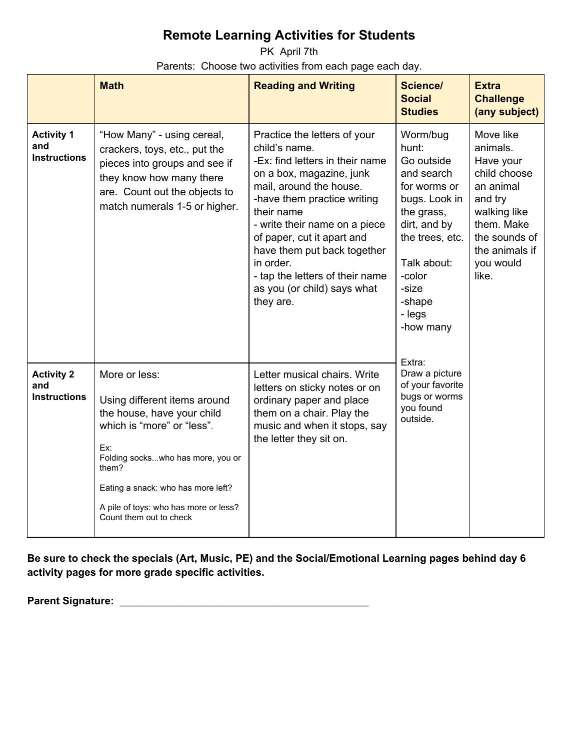PK April 7th Parents: Choose two activities from each page each day.

|                                                 | <b>Math</b>                                                                                                                                                                                                                                                              | <b>Reading and Writing</b>                                                                                                                                                                                                                                                                                                                                                     | <b>Science/</b><br><b>Social</b><br><b>Studies</b>                                                                                                                                                           | <b>Extra</b><br><b>Challenge</b><br>(any subject)                                                                                                                 |
|-------------------------------------------------|--------------------------------------------------------------------------------------------------------------------------------------------------------------------------------------------------------------------------------------------------------------------------|--------------------------------------------------------------------------------------------------------------------------------------------------------------------------------------------------------------------------------------------------------------------------------------------------------------------------------------------------------------------------------|--------------------------------------------------------------------------------------------------------------------------------------------------------------------------------------------------------------|-------------------------------------------------------------------------------------------------------------------------------------------------------------------|
| <b>Activity 1</b><br>and<br><b>Instructions</b> | "How Many" - using cereal,<br>crackers, toys, etc., put the<br>pieces into groups and see if<br>they know how many there<br>are. Count out the objects to<br>match numerals 1-5 or higher.                                                                               | Practice the letters of your<br>child's name.<br>-Ex: find letters in their name<br>on a box, magazine, junk<br>mail, around the house.<br>-have them practice writing<br>their name<br>- write their name on a piece<br>of paper, cut it apart and<br>have them put back together<br>in order.<br>- tap the letters of their name<br>as you (or child) says what<br>they are. | Worm/bug<br>hunt:<br>Go outside<br>and search<br>for worms or<br>bugs. Look in<br>the grass,<br>dirt, and by<br>the trees, etc.<br>Talk about:<br>-color<br>-size<br>-shape<br>- legs<br>-how many<br>Extra: | Move like<br>animals.<br>Have your<br>child choose<br>an animal<br>and try<br>walking like<br>them. Make<br>the sounds of<br>the animals if<br>you would<br>like. |
| <b>Activity 2</b><br>and<br><b>Instructions</b> | More or less:<br>Using different items around<br>the house, have your child<br>which is "more" or "less".<br>Ex:<br>Folding sockswho has more, you or<br>them?<br>Eating a snack: who has more left?<br>A pile of toys: who has more or less?<br>Count them out to check | Letter musical chairs. Write<br>letters on sticky notes or on<br>ordinary paper and place<br>them on a chair. Play the<br>music and when it stops, say<br>the letter they sit on.                                                                                                                                                                                              | Draw a picture<br>of your favorite<br>bugs or worms<br>you found<br>outside.                                                                                                                                 |                                                                                                                                                                   |

**Be sure to check the specials (Art, Music, PE) and the Social/Emotional Learning pages behind day 6 activity pages for more grade specific activities.**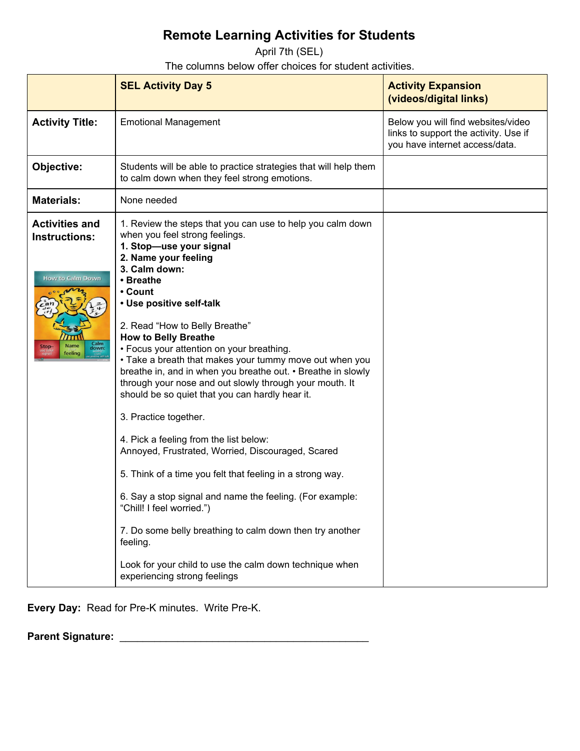April 7th (SEL)

The columns below offer choices for student activities.

|                                                                                                      | <b>SEL Activity Day 5</b>                                                                                                                                                                                                                                                                                                                                                                                                                                                                                                                                                                                                                                                                                                                                                                                                                                                                                                                                                                                                    | <b>Activity Expansion</b><br>(videos/digital links)                                                           |
|------------------------------------------------------------------------------------------------------|------------------------------------------------------------------------------------------------------------------------------------------------------------------------------------------------------------------------------------------------------------------------------------------------------------------------------------------------------------------------------------------------------------------------------------------------------------------------------------------------------------------------------------------------------------------------------------------------------------------------------------------------------------------------------------------------------------------------------------------------------------------------------------------------------------------------------------------------------------------------------------------------------------------------------------------------------------------------------------------------------------------------------|---------------------------------------------------------------------------------------------------------------|
| <b>Activity Title:</b>                                                                               | <b>Emotional Management</b>                                                                                                                                                                                                                                                                                                                                                                                                                                                                                                                                                                                                                                                                                                                                                                                                                                                                                                                                                                                                  | Below you will find websites/video<br>links to support the activity. Use if<br>you have internet access/data. |
| Objective:                                                                                           | Students will be able to practice strategies that will help them<br>to calm down when they feel strong emotions.                                                                                                                                                                                                                                                                                                                                                                                                                                                                                                                                                                                                                                                                                                                                                                                                                                                                                                             |                                                                                                               |
| <b>Materials:</b>                                                                                    | None needed                                                                                                                                                                                                                                                                                                                                                                                                                                                                                                                                                                                                                                                                                                                                                                                                                                                                                                                                                                                                                  |                                                                                                               |
| <b>Activities and</b><br><b>Instructions:</b><br><b>How to Calm Down</b><br>Calm<br>down:<br>feeling | 1. Review the steps that you can use to help you calm down<br>when you feel strong feelings.<br>1. Stop-use your signal<br>2. Name your feeling<br>3. Calm down:<br>• Breathe<br>• Count<br>• Use positive self-talk<br>2. Read "How to Belly Breathe"<br><b>How to Belly Breathe</b><br>• Focus your attention on your breathing.<br>• Take a breath that makes your tummy move out when you<br>breathe in, and in when you breathe out. • Breathe in slowly<br>through your nose and out slowly through your mouth. It<br>should be so quiet that you can hardly hear it.<br>3. Practice together.<br>4. Pick a feeling from the list below:<br>Annoyed, Frustrated, Worried, Discouraged, Scared<br>5. Think of a time you felt that feeling in a strong way.<br>6. Say a stop signal and name the feeling. (For example:<br>"Chill! I feel worried.")<br>7. Do some belly breathing to calm down then try another<br>feeling.<br>Look for your child to use the calm down technique when<br>experiencing strong feelings |                                                                                                               |

**Every Day:** Read for Pre-K minutes. Write Pre-K.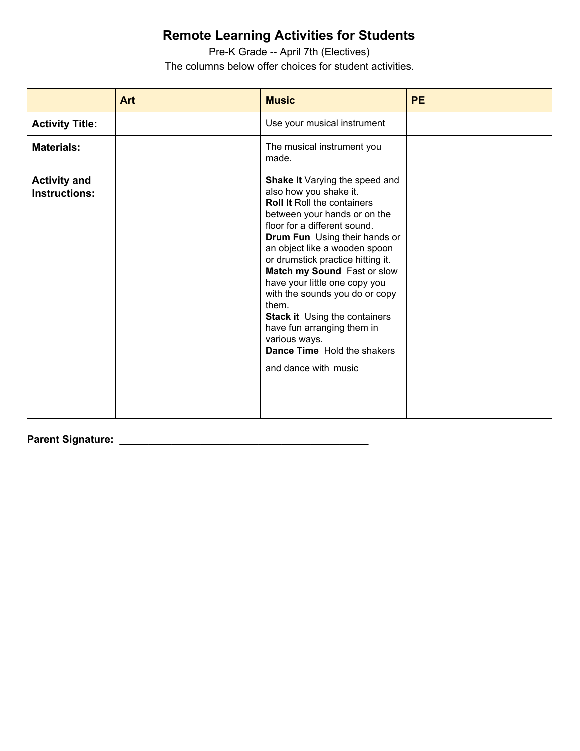Pre-K Grade -- April 7th (Electives) The columns below offer choices for student activities.

|                                             | <b>Art</b> | <b>Music</b>                                                                                                                                                                                                                                                                                                                                                                                                                                                                                                                          | <b>PE</b> |
|---------------------------------------------|------------|---------------------------------------------------------------------------------------------------------------------------------------------------------------------------------------------------------------------------------------------------------------------------------------------------------------------------------------------------------------------------------------------------------------------------------------------------------------------------------------------------------------------------------------|-----------|
| <b>Activity Title:</b>                      |            | Use your musical instrument                                                                                                                                                                                                                                                                                                                                                                                                                                                                                                           |           |
| <b>Materials:</b>                           |            | The musical instrument you<br>made.                                                                                                                                                                                                                                                                                                                                                                                                                                                                                                   |           |
| <b>Activity and</b><br><b>Instructions:</b> |            | Shake It Varying the speed and<br>also how you shake it.<br><b>Roll It Roll the containers</b><br>between your hands or on the<br>floor for a different sound.<br>Drum Fun Using their hands or<br>an object like a wooden spoon<br>or drumstick practice hitting it.<br>Match my Sound Fast or slow<br>have your little one copy you<br>with the sounds you do or copy<br>them.<br><b>Stack it Using the containers</b><br>have fun arranging them in<br>various ways.<br><b>Dance Time</b> Hold the shakers<br>and dance with music |           |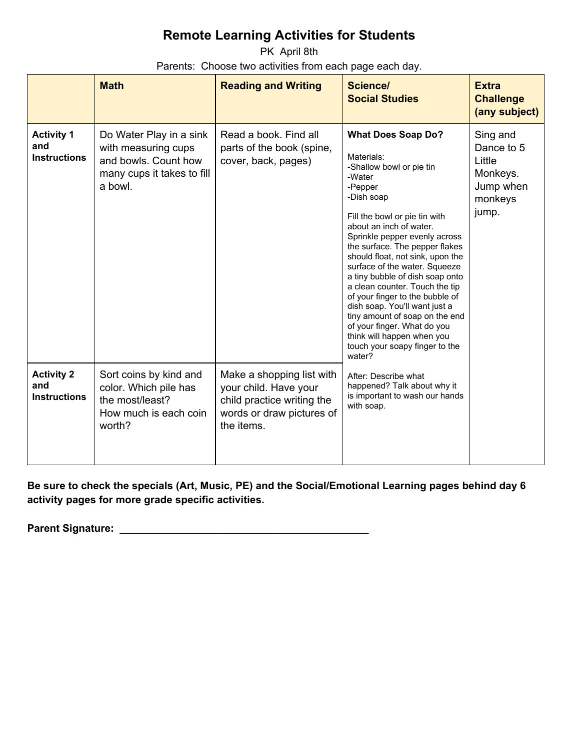PK April 8th Parents: Choose two activities from each page each day.

|                                                 | <b>Math</b>                                                                                                     | <b>Reading and Writing</b>                                                                                                  | <b>Science/</b><br><b>Social Studies</b>                                                                                                                                                                                                                                                                                                                                                                                                                                                                                                                                                       | <b>Extra</b><br><b>Challenge</b><br>(any subject)                             |
|-------------------------------------------------|-----------------------------------------------------------------------------------------------------------------|-----------------------------------------------------------------------------------------------------------------------------|------------------------------------------------------------------------------------------------------------------------------------------------------------------------------------------------------------------------------------------------------------------------------------------------------------------------------------------------------------------------------------------------------------------------------------------------------------------------------------------------------------------------------------------------------------------------------------------------|-------------------------------------------------------------------------------|
| <b>Activity 1</b><br>and<br><b>Instructions</b> | Do Water Play in a sink<br>with measuring cups<br>and bowls. Count how<br>many cups it takes to fill<br>a bowl. | Read a book. Find all<br>parts of the book (spine,<br>cover, back, pages)                                                   | <b>What Does Soap Do?</b><br>Materials:<br>-Shallow bowl or pie tin<br>-Water<br>-Pepper<br>-Dish soap<br>Fill the bowl or pie tin with<br>about an inch of water.<br>Sprinkle pepper evenly across<br>the surface. The pepper flakes<br>should float, not sink, upon the<br>surface of the water. Squeeze<br>a tiny bubble of dish soap onto<br>a clean counter. Touch the tip<br>of your finger to the bubble of<br>dish soap. You'll want just a<br>tiny amount of soap on the end<br>of your finger. What do you<br>think will happen when you<br>touch your soapy finger to the<br>water? | Sing and<br>Dance to 5<br>Little<br>Monkeys.<br>Jump when<br>monkeys<br>jump. |
| <b>Activity 2</b><br>and<br><b>Instructions</b> | Sort coins by kind and<br>color. Which pile has<br>the most/least?<br>How much is each coin<br>worth?           | Make a shopping list with<br>your child. Have your<br>child practice writing the<br>words or draw pictures of<br>the items. | After: Describe what<br>happened? Talk about why it<br>is important to wash our hands<br>with soap.                                                                                                                                                                                                                                                                                                                                                                                                                                                                                            |                                                                               |

**Be sure to check the specials (Art, Music, PE) and the Social/Emotional Learning pages behind day 6 activity pages for more grade specific activities.**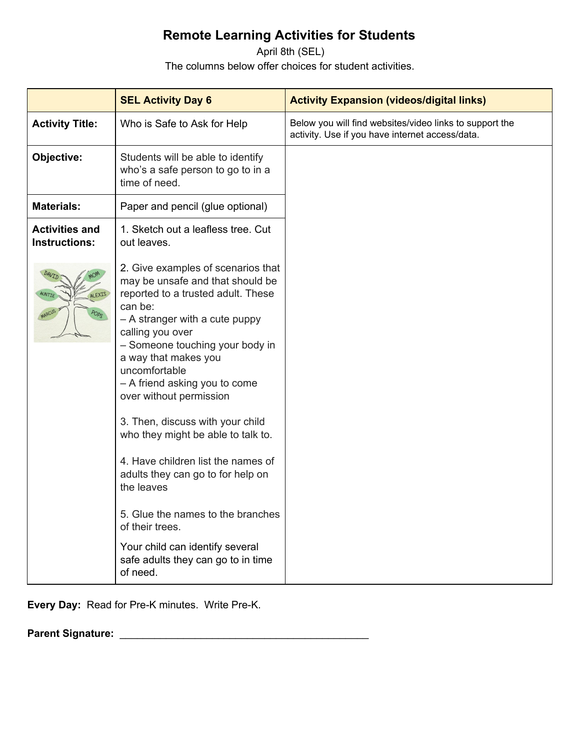April 8th (SEL) The columns below offer choices for student activities.

|                                               | <b>SEL Activity Day 6</b>                                                                                                                                                                                                                                                                                                                                                                                                                                                                                                                                                                                                             | <b>Activity Expansion (videos/digital links)</b>                                                           |
|-----------------------------------------------|---------------------------------------------------------------------------------------------------------------------------------------------------------------------------------------------------------------------------------------------------------------------------------------------------------------------------------------------------------------------------------------------------------------------------------------------------------------------------------------------------------------------------------------------------------------------------------------------------------------------------------------|------------------------------------------------------------------------------------------------------------|
| <b>Activity Title:</b>                        | Who is Safe to Ask for Help                                                                                                                                                                                                                                                                                                                                                                                                                                                                                                                                                                                                           | Below you will find websites/video links to support the<br>activity. Use if you have internet access/data. |
| Objective:                                    | Students will be able to identify<br>who's a safe person to go to in a<br>time of need.                                                                                                                                                                                                                                                                                                                                                                                                                                                                                                                                               |                                                                                                            |
| <b>Materials:</b>                             | Paper and pencil (glue optional)                                                                                                                                                                                                                                                                                                                                                                                                                                                                                                                                                                                                      |                                                                                                            |
| <b>Activities and</b><br><b>Instructions:</b> | 1. Sketch out a leafless tree. Cut<br>out leaves.                                                                                                                                                                                                                                                                                                                                                                                                                                                                                                                                                                                     |                                                                                                            |
| AUNTIE<br>ALEXIS<br>POPS                      | 2. Give examples of scenarios that<br>may be unsafe and that should be<br>reported to a trusted adult. These<br>can be:<br>- A stranger with a cute puppy<br>calling you over<br>- Someone touching your body in<br>a way that makes you<br>uncomfortable<br>- A friend asking you to come<br>over without permission<br>3. Then, discuss with your child<br>who they might be able to talk to.<br>4. Have children list the names of<br>adults they can go to for help on<br>the leaves<br>5. Glue the names to the branches<br>of their trees.<br>Your child can identify several<br>safe adults they can go to in time<br>of need. |                                                                                                            |

**Every Day:** Read for Pre-K minutes. Write Pre-K.